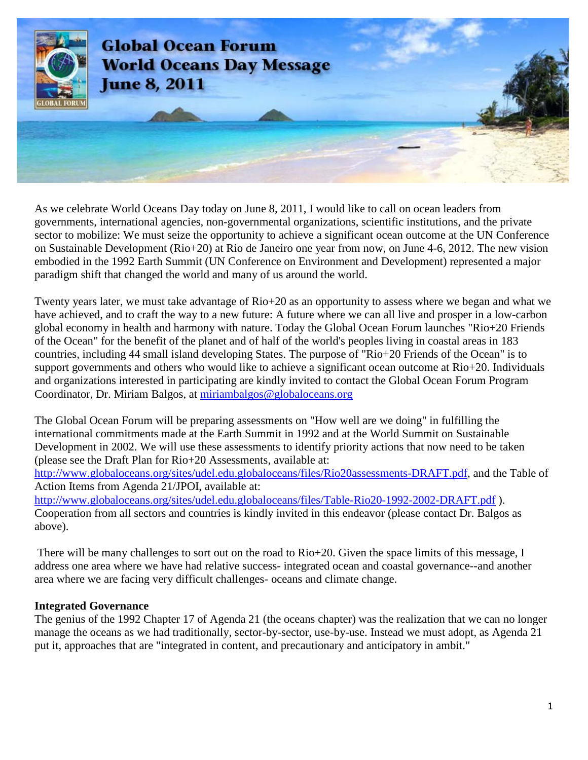

As we celebrate World Oceans Day today on June 8, 2011, I would like to call on ocean leaders from governments, international agencies, non-governmental organizations, scientific institutions, and the private sector to mobilize: We must seize the opportunity to achieve a significant ocean outcome at the UN Conference on Sustainable Development (Rio+20) at Rio de Janeiro one year from now, on June 4-6, 2012. The new vision embodied in the 1992 Earth Summit (UN Conference on Environment and Development) represented a major paradigm shift that changed the world and many of us around the world.

Twenty years later, we must take advantage of Rio+20 as an opportunity to assess where we began and what we have achieved, and to craft the way to a new future: A future where we can all live and prosper in a low-carbon global economy in health and harmony with nature. Today the Global Ocean Forum launches "Rio+20 Friends of the Ocean" for the benefit of the planet and of half of the world's peoples living in coastal areas in 183 countries, including 44 small island developing States. The purpose of "Rio+20 Friends of the Ocean" is to support governments and others who would like to achieve a significant ocean outcome at Rio+20. Individuals and organizations interested in participating are kindly invited to contact the Global Ocean Forum Program Coordinator, Dr. Miriam Balgos, at [miriambalgos@globaloceans.org](mailto:miriambalgos@globaloceans.org)

The Global Ocean Forum will be preparing assessments on "How well are we doing" in fulfilling the international commitments made at the Earth Summit in 1992 and at the World Summit on Sustainable Development in 2002. We will use these assessments to identify priority actions that now need to be taken (please see the Draft Plan for Rio+20 Assessments, available at:

[http://www.globaloceans.org/sites/udel.edu.globaloceans/files/Rio20assessments-DRAFT.pdf,](http://www.globaloceans.org/sites/udel.edu.globaloceans/files/Rio20assessments-DRAFT.pdf) and the Table of Action Items from Agenda 21/JPOI, available at:

<http://www.globaloceans.org/sites/udel.edu.globaloceans/files/Table-Rio20-1992-2002-DRAFT.pdf> ). Cooperation from all sectors and countries is kindly invited in this endeavor (please contact Dr. Balgos as above).

There will be many challenges to sort out on the road to Rio+20. Given the space limits of this message, I address one area where we have had relative success- integrated ocean and coastal governance--and another area where we are facing very difficult challenges- oceans and climate change.

### **Integrated Governance**

The genius of the 1992 Chapter 17 of Agenda 21 (the oceans chapter) was the realization that we can no longer manage the oceans as we had traditionally, sector-by-sector, use-by-use. Instead we must adopt, as Agenda 21 put it, approaches that are "integrated in content, and precautionary and anticipatory in ambit."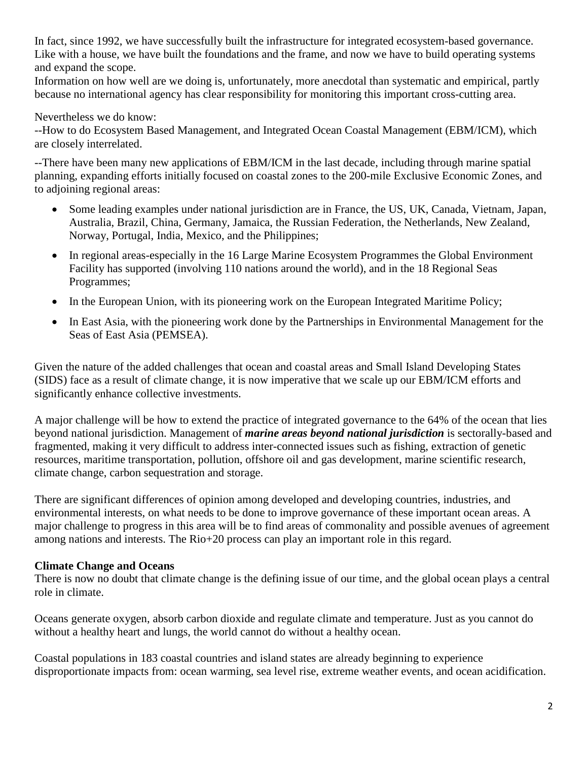In fact, since 1992, we have successfully built the infrastructure for integrated ecosystem-based governance. Like with a house, we have built the foundations and the frame, and now we have to build operating systems and expand the scope.

Information on how well are we doing is, unfortunately, more anecdotal than systematic and empirical, partly because no international agency has clear responsibility for monitoring this important cross-cutting area.

## Nevertheless we do know:

--How to do Ecosystem Based Management, and Integrated Ocean Coastal Management (EBM/ICM), which are closely interrelated.

--There have been many new applications of EBM/ICM in the last decade, including through marine spatial planning, expanding efforts initially focused on coastal zones to the 200-mile Exclusive Economic Zones, and to adjoining regional areas:

- Some leading examples under national jurisdiction are in France, the US, UK, Canada, Vietnam, Japan, Australia, Brazil, China, Germany, Jamaica, the Russian Federation, the Netherlands, New Zealand, Norway, Portugal, India, Mexico, and the Philippines;
- In regional areas-especially in the 16 Large Marine Ecosystem Programmes the Global Environment Facility has supported (involving 110 nations around the world), and in the 18 Regional Seas Programmes;
- In the European Union, with its pioneering work on the European Integrated Maritime Policy;
- In East Asia, with the pioneering work done by the Partnerships in Environmental Management for the Seas of East Asia (PEMSEA).

Given the nature of the added challenges that ocean and coastal areas and Small Island Developing States (SIDS) face as a result of climate change, it is now imperative that we scale up our EBM/ICM efforts and significantly enhance collective investments.

A major challenge will be how to extend the practice of integrated governance to the 64% of the ocean that lies beyond national jurisdiction. Management of *marine areas beyond national jurisdiction* is sectorally-based and fragmented, making it very difficult to address inter-connected issues such as fishing, extraction of genetic resources, maritime transportation, pollution, offshore oil and gas development, marine scientific research, climate change, carbon sequestration and storage.

There are significant differences of opinion among developed and developing countries, industries, and environmental interests, on what needs to be done to improve governance of these important ocean areas. A major challenge to progress in this area will be to find areas of commonality and possible avenues of agreement among nations and interests. The Rio+20 process can play an important role in this regard.

### **Climate Change and Oceans**

There is now no doubt that climate change is the defining issue of our time, and the global ocean plays a central role in climate.

Oceans generate oxygen, absorb carbon dioxide and regulate climate and temperature. Just as you cannot do without a healthy heart and lungs, the world cannot do without a healthy ocean.

Coastal populations in 183 coastal countries and island states are already beginning to experience disproportionate impacts from: ocean warming, sea level rise, extreme weather events, and ocean acidification.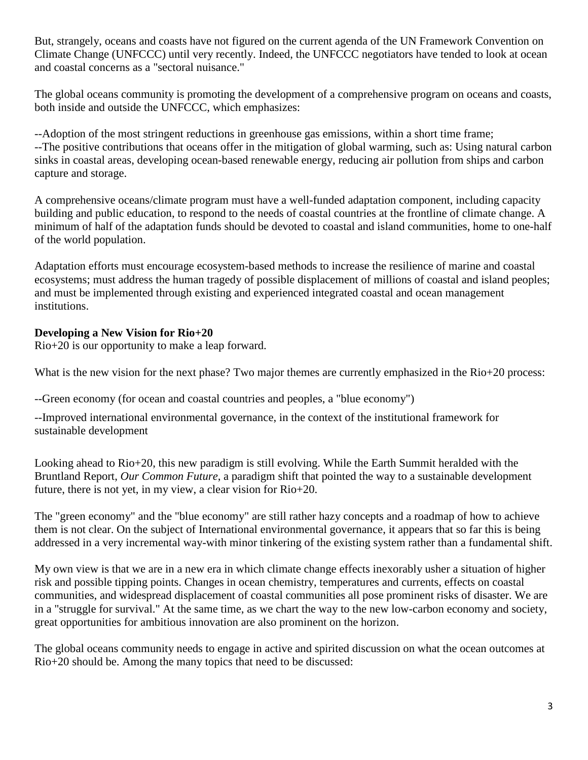But, strangely, oceans and coasts have not figured on the current agenda of the UN Framework Convention on Climate Change (UNFCCC) until very recently. Indeed, the UNFCCC negotiators have tended to look at ocean and coastal concerns as a "sectoral nuisance."

The global oceans community is promoting the development of a comprehensive program on oceans and coasts, both inside and outside the UNFCCC, which emphasizes:

--Adoption of the most stringent reductions in greenhouse gas emissions, within a short time frame; --The positive contributions that oceans offer in the mitigation of global warming, such as: Using natural carbon sinks in coastal areas, developing ocean-based renewable energy, reducing air pollution from ships and carbon capture and storage.

A comprehensive oceans/climate program must have a well-funded adaptation component, including capacity building and public education, to respond to the needs of coastal countries at the frontline of climate change. A minimum of half of the adaptation funds should be devoted to coastal and island communities, home to one-half of the world population.

Adaptation efforts must encourage ecosystem-based methods to increase the resilience of marine and coastal ecosystems; must address the human tragedy of possible displacement of millions of coastal and island peoples; and must be implemented through existing and experienced integrated coastal and ocean management institutions.

# **Developing a New Vision for Rio+20**

Rio+20 is our opportunity to make a leap forward.

What is the new vision for the next phase? Two major themes are currently emphasized in the Rio+20 process:

--Green economy (for ocean and coastal countries and peoples, a "blue economy")

--Improved international environmental governance, in the context of the institutional framework for sustainable development

Looking ahead to Rio+20, this new paradigm is still evolving. While the Earth Summit heralded with the Bruntland Report, *Our Common Future*, a paradigm shift that pointed the way to a sustainable development future, there is not yet, in my view, a clear vision for Rio+20.

The "green economy" and the "blue economy" are still rather hazy concepts and a roadmap of how to achieve them is not clear. On the subject of International environmental governance, it appears that so far this is being addressed in a very incremental way-with minor tinkering of the existing system rather than a fundamental shift.

My own view is that we are in a new era in which climate change effects inexorably usher a situation of higher risk and possible tipping points. Changes in ocean chemistry, temperatures and currents, effects on coastal communities, and widespread displacement of coastal communities all pose prominent risks of disaster. We are in a "struggle for survival." At the same time, as we chart the way to the new low-carbon economy and society, great opportunities for ambitious innovation are also prominent on the horizon.

The global oceans community needs to engage in active and spirited discussion on what the ocean outcomes at Rio+20 should be. Among the many topics that need to be discussed: